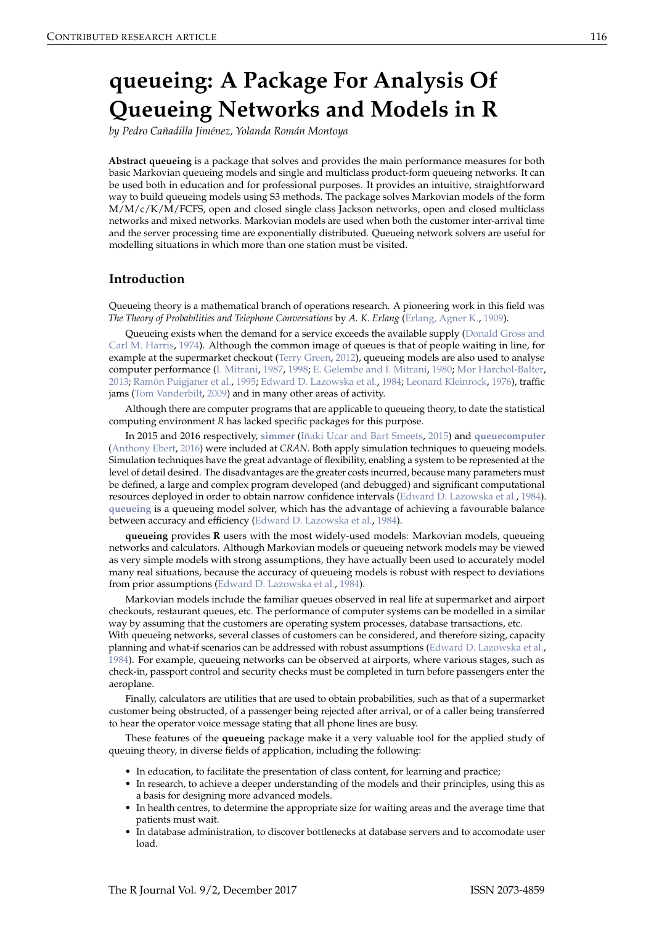# <span id="page-0-0"></span>**queueing: A Package For Analysis Of Queueing Networks and Models in R**

*by Pedro Cañadilla Jiménez, Yolanda Román Montoya*

**Abstract queueing** is a package that solves and provides the main performance measures for both basic Markovian queueing models and single and multiclass product-form queueing networks. It can be used both in education and for professional purposes. It provides an intuitive, straightforward way to build queueing models using S3 methods. The package solves Markovian models of the form M/M/c/K/M/FCFS, open and closed single class Jackson networks, open and closed multiclass networks and mixed networks. Markovian models are used when both the customer inter-arrival time and the server processing time are exponentially distributed. Queueing network solvers are useful for modelling situations in which more than one station must be visited.

## **Introduction**

Queueing theory is a mathematical branch of operations research. A pioneering work in this field was *The Theory of Probabilities and Telephone Conversations* by *A. K. Erlang* [\(Erlang, Agner K.,](#page-10-0) [1909\)](#page-10-0).

Queueing exists when the demand for a service exceeds the available supply [\(Donald Gross and](#page-10-1) [Carl M. Harris,](#page-10-1) [1974\)](#page-10-1). Although the common image of queues is that of people waiting in line, for example at the supermarket checkout [\(Terry Green,](#page-10-2) [2012\)](#page-10-2), queueing models are also used to analyse computer performance [\(I. Mitrani,](#page-10-3) [1987,](#page-10-3) [1998;](#page-10-4) [E. Gelembe and I. Mitrani,](#page-10-5) [1980;](#page-10-5) [Mor Harchol-Balter,](#page-10-6) [2013;](#page-10-6) [Ramón Puigjaner et al.,](#page-10-7) [1995;](#page-10-7) [Edward D. Lazowska et al.,](#page-10-8) [1984;](#page-10-8) [Leonard Kleinrock,](#page-10-9) [1976\)](#page-10-9), traffic jams [\(Tom Vanderbilt,](#page-10-10) [2009\)](#page-10-10) and in many other areas of activity.

Although there are computer programs that are applicable to queueing theory, to date the statistical computing environment *R* has lacked specific packages for this purpose.

In 2015 and 2016 respectively, **[simmer](https://CRAN.R-project.org/package=simmer)** [\(Iñaki Ucar and Bart Smeets,](#page-10-11) [2015\)](#page-10-11) and **[queuecomputer](https://CRAN.R-project.org/package=queuecomputer)** [\(Anthony Ebert,](#page-9-0) [2016\)](#page-9-0) were included at *CRAN*. Both apply simulation techniques to queueing models. Simulation techniques have the great advantage of flexibility, enabling a system to be represented at the level of detail desired. The disadvantages are the greater costs incurred, because many parameters must be defined, a large and complex program developed (and debugged) and significant computational resources deployed in order to obtain narrow confidence intervals [\(Edward D. Lazowska et al.,](#page-10-8) [1984\)](#page-10-8). **[queueing](https://CRAN.R-project.org/package=queueing)** is a queueing model solver, which has the advantage of achieving a favourable balance between accuracy and efficiency [\(Edward D. Lazowska et al.,](#page-10-8) [1984\)](#page-10-8).

**queueing** provides **R** users with the most widely-used models: Markovian models, queueing networks and calculators. Although Markovian models or queueing network models may be viewed as very simple models with strong assumptions, they have actually been used to accurately model many real situations, because the accuracy of queueing models is robust with respect to deviations from prior assumptions [\(Edward D. Lazowska et al.,](#page-10-8) [1984\)](#page-10-8).

Markovian models include the familiar queues observed in real life at supermarket and airport checkouts, restaurant queues, etc. The performance of computer systems can be modelled in a similar way by assuming that the customers are operating system processes, database transactions, etc.

With queueing networks, several classes of customers can be considered, and therefore sizing, capacity planning and what-if scenarios can be addressed with robust assumptions [\(Edward D. Lazowska et al.,](#page-10-8) [1984\)](#page-10-8). For example, queueing networks can be observed at airports, where various stages, such as check-in, passport control and security checks must be completed in turn before passengers enter the aeroplane.

Finally, calculators are utilities that are used to obtain probabilities, such as that of a supermarket customer being obstructed, of a passenger being rejected after arrival, or of a caller being transferred to hear the operator voice message stating that all phone lines are busy.

These features of the **queueing** package make it a very valuable tool for the applied study of queuing theory, in diverse fields of application, including the following:

- In education, to facilitate the presentation of class content, for learning and practice;
- In research, to achieve a deeper understanding of the models and their principles, using this as a basis for designing more advanced models.
- In health centres, to determine the appropriate size for waiting areas and the average time that patients must wait.
- In database administration, to discover bottlenecks at database servers and to accomodate user load.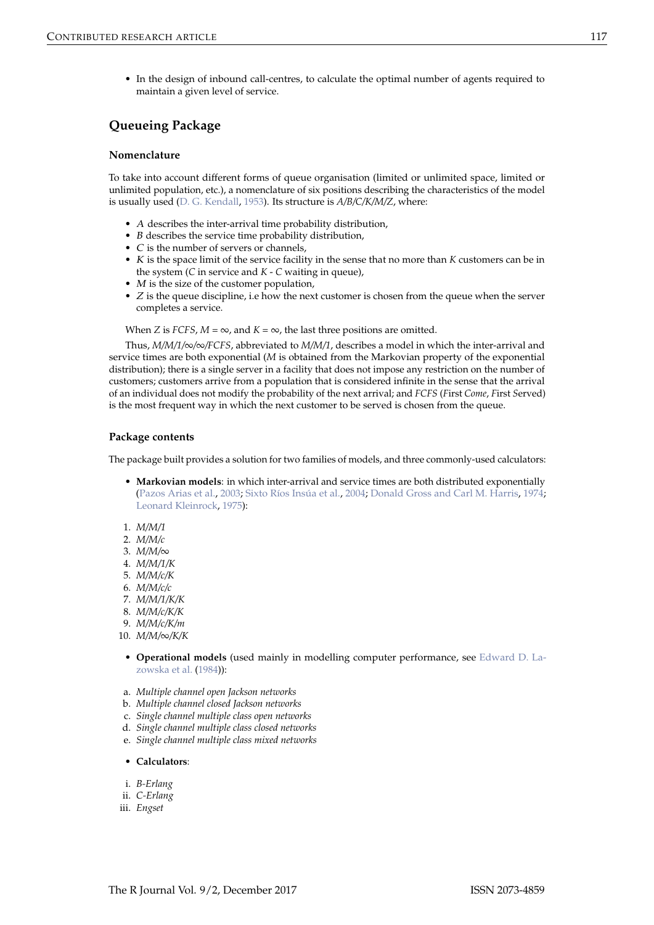<span id="page-1-0"></span>• In the design of inbound call-centres, to calculate the optimal number of agents required to maintain a given level of service.

## **Queueing Package**

#### **Nomenclature**

To take into account different forms of queue organisation (limited or unlimited space, limited or unlimited population, etc.), a nomenclature of six positions describing the characteristics of the model is usually used [\(D. G. Kendall,](#page-9-1) [1953\)](#page-9-1). Its structure is *A/B/C/K/M/Z*, where:

- A describes the inter-arrival time probability distribution,
- B describes the service time probability distribution,
- C is the number of servers or channels,
- K is the space limit of the service facility in the sense that no more than *K* customers can be in the system (*C* in service and *K* - *C* waiting in queue),
- $\bullet$  *M* is the size of the customer population,
- $Z$  is the queue discipline, i.e how the next customer is chosen from the queue when the server completes a service.

When *Z* is *FCFS*,  $M = \infty$ , and  $K = \infty$ , the last three positions are omitted.

Thus, *M/M/1/*∞*/*∞*/FCFS*, abbreviated to *M/M/1*, describes a model in which the inter-arrival and service times are both exponential (*M* is obtained from the Markovian property of the exponential distribution); there is a single server in a facility that does not impose any restriction on the number of customers; customers arrive from a population that is considered infinite in the sense that the arrival of an individual does not modify the probability of the next arrival; and *FCFS* (*F*irst *Come*, *F*irst *S*erved) is the most frequent way in which the next customer to be served is chosen from the queue.

#### **Package contents**

The package built provides a solution for two families of models, and three commonly-used calculators:

- **Markovian models**: in which inter-arrival and service times are both distributed exponentially [\(Pazos Arias et al.,](#page-10-12) [2003;](#page-10-12) [Sixto Ríos Insúa et al.,](#page-10-13) [2004;](#page-10-13) [Donald Gross and Carl M. Harris,](#page-10-1) [1974;](#page-10-1) [Leonard Kleinrock,](#page-10-14) [1975\)](#page-10-14):
- 1. *M/M/1*
- 2. *M/M/c*
- 3. *M/M/*∞
- 4. *M/M/1/K*
- 5. *M/M/c/K*
- 6. *M/M/c/c*
- 7. *M/M/1/K/K*
- 8. *M/M/c/K/K*
- 9. *M/M/c/K/m*
- 10. *M/M/*∞*/K/K*
- **Operational models** (used mainly in modelling computer performance, see [Edward D. La](#page-10-8)[zowska et al.](#page-10-8) [\(1984\)](#page-10-8)):
- a. *Multiple channel open Jackson networks*
- b. *Multiple channel closed Jackson networks*
- c. *Single channel multiple class open networks*
- d. *Single channel multiple class closed networks*
- e. *Single channel multiple class mixed networks*

#### • **Calculators**:

- i. *B-Erlang*
- ii. *C-Erlang*
- iii. *Engset*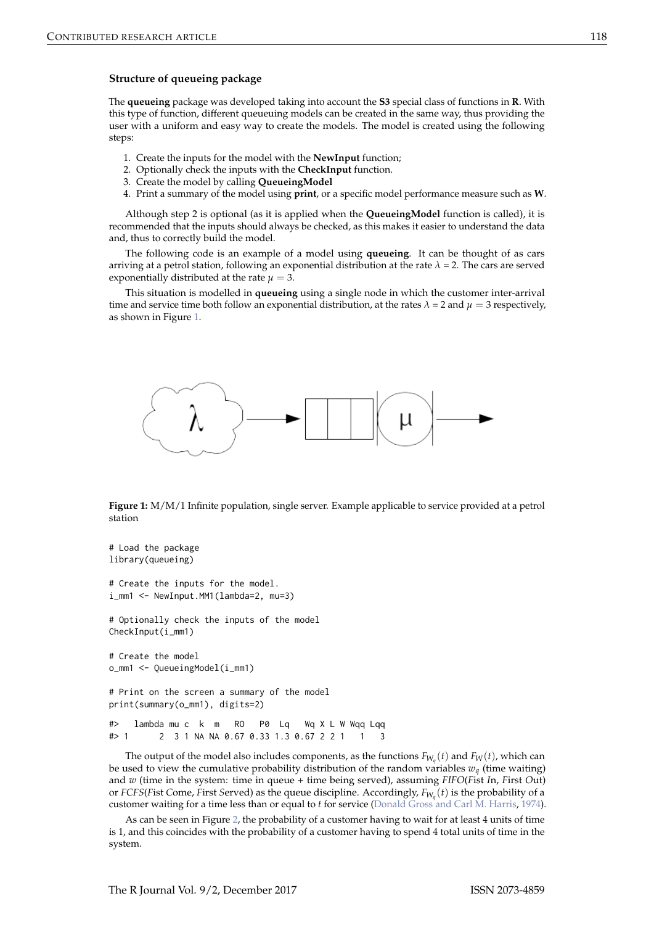#### <span id="page-2-1"></span>**Structure of queueing package**

The **queueing** package was developed taking into account the **S3** special class of functions in **R**. With this type of function, different queueuing models can be created in the same way, thus providing the user with a uniform and easy way to create the models. The model is created using the following steps:

- 1. Create the inputs for the model with the **NewInput** function;
- 2. Optionally check the inputs with the **CheckInput** function.
- 3. Create the model by calling **QueueingModel**
- 4. Print a summary of the model using **print**, or a specific model performance measure such as **W**.

Although step 2 is optional (as it is applied when the **QueueingModel** function is called), it is recommended that the inputs should always be checked, as this makes it easier to understand the data and, thus to correctly build the model.

The following code is an example of a model using **queueing**. It can be thought of as cars arriving at a petrol station, following an exponential distribution at the rate  $\lambda = 2$ . The cars are served exponentially distributed at the rate  $\mu = 3$ .

<span id="page-2-0"></span>This situation is modelled in **queueing** using a single node in which the customer inter-arrival time and service time both follow an exponential distribution, at the rates  $\lambda = 2$  and  $\mu = 3$  respectively, as shown in Figure [1.](#page-2-0)



**Figure 1:** M/M/1 Infinite population, single server. Example applicable to service provided at a petrol station

```
# Load the package
library(queueing)
# Create the inputs for the model.
i_mm1 <- NewInput.MM1(lambda=2, mu=3)
# Optionally check the inputs of the model
CheckInput(i_mm1)
# Create the model
o_mm1 <- QueueingModel(i_mm1)
# Print on the screen a summary of the model
print(summary(o_mm1), digits=2)
#> lambda mu c k m RO P0 Lq Wq X L W Wqq Lqq
#> 1 2 3 1 NA NA 0.67 0.33 1.3 0.67 2 2 1 1 3
```
The output of the model also includes components, as the functions  $F_{W_q}(t)$  and  $F_W(t)$ , which can be used to view the cumulative probability distribution of the random variables  $w_q$  (time waiting) and *w* (time in the system: time in queue + time being served), assuming *FIFO*(*F*ist *I*n, *F*irst *O*ut) or *FCFS*(*F*ist *C*ome, *F*irst *S*erved) as the queue discipline. Accordingly, *FW<sup>q</sup>* (*t*) is the probability of a customer waiting for a time less than or equal to *t* for service [\(Donald Gross and Carl M. Harris,](#page-10-1) [1974\)](#page-10-1).

As can be seen in Figure [2,](#page-3-0) the probability of a customer having to wait for at least 4 units of time is 1, and this coincides with the probability of a customer having to spend 4 total units of time in the system.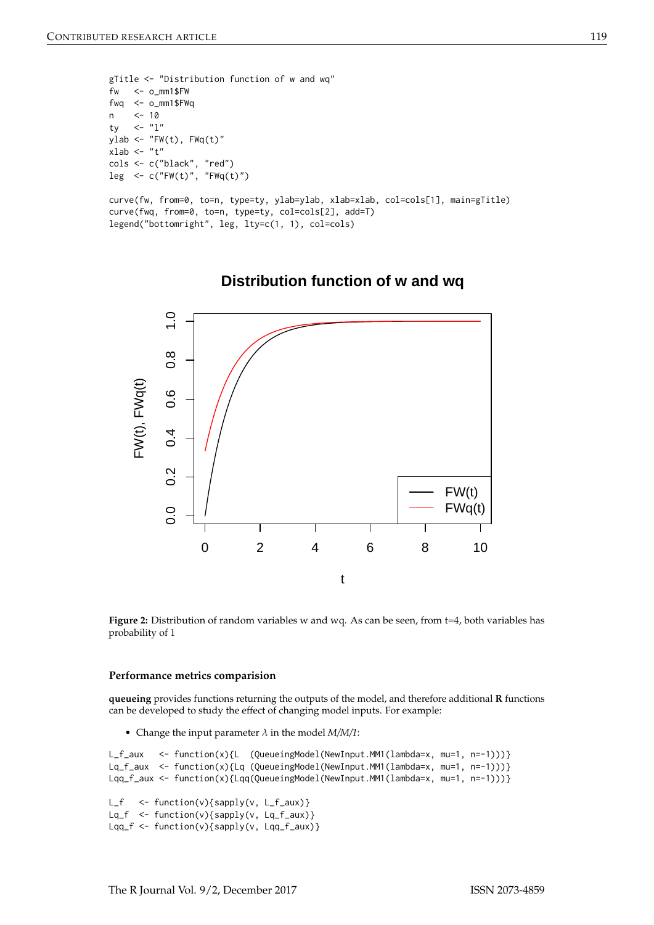```
gTitle <- "Distribution function of w and wq"
f_{W} <- o_{mm1}$FW
fwq <- o_mm1$FWq
n <- 10
ty \langle - \, '1 \rangleylab \leftarrow "FW(t), FWq(t)"xlab <- "t"
cols <- c("black", "red")
leg <- c("FW(t)", "FWq(t)")
curve(fw, from=0, to=n, type=ty, ylab=ylab, xlab=xlab, col=cols[1], main=gTitle)
curve(fwq, from=0, to=n, type=ty, col=cols[2], add=T)
```
<span id="page-3-0"></span>legend("bottomright", leg, lty=c(1, 1), col=cols)



# **Distribution function of w and wq**

Figure 2: Distribution of random variables w and wq. As can be seen, from t=4, both variables has probability of 1

#### **Performance metrics comparision**

**queueing** provides functions returning the outputs of the model, and therefore additional **R** functions can be developed to study the effect of changing model inputs. For example:

• Change the input parameter  $\lambda$  in the model  $M/M/1$ :

```
L_f_aux <- function(x){L (QueueingModel(NewInput.MM1(lambda=x, mu=1, n=-1)))}
Lq_f_aux <- function(x){Lq (QueueingModel(NewInput.MM1(lambda=x, mu=1, n=-1)))}
Lqq_f_aux <- function(x){Lqq(QueueingModel(NewInput.MM1(lambda=x, mu=1, n=-1)))}
```

```
L_f <- function(v){sapply(v, L_f_aux)}
Lq_f <- function(v){sapply(v, Lq_f_aux)}
Lqq_f \leq function(v){sapply(v, Lqq_f_aux)}
```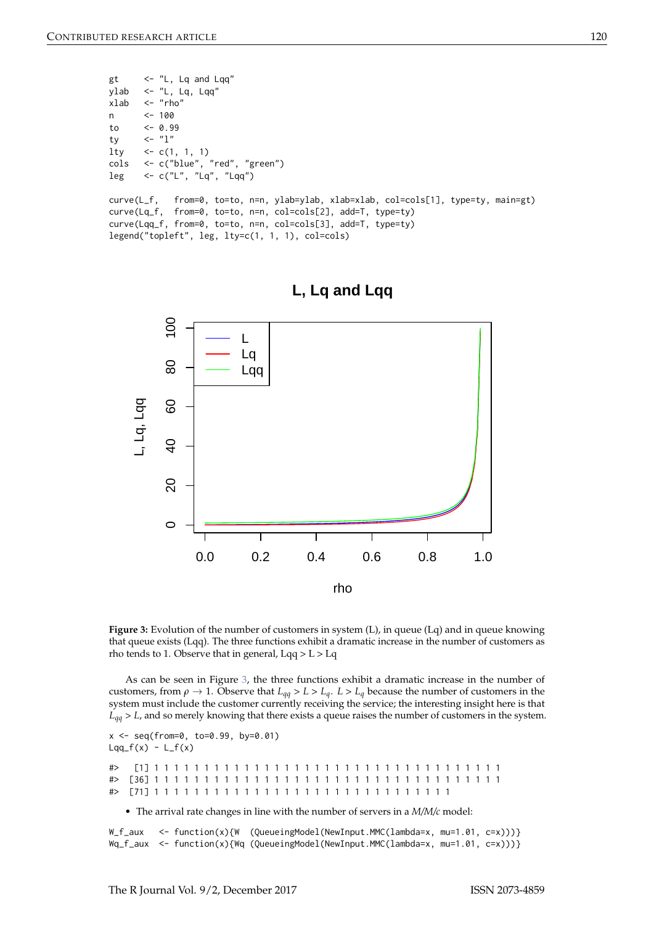```
gt \leftarrow "L, Lq and Lqq"
ylab <- "L, Lq, Lqq"
xlab <- "rho"
n <- 100
to <- 0.99
ty \langle - \, '1" \ranglelty \langle -c(1, 1, 1) \ranglecols <- c("blue", "red", "green")
leg \leftarrow c("L", "Lq", "Lqq")curve(L_f, from=0, to=to, n=n, ylab=ylab, xlab=xlab, col=cols[1], type=ty, main=gt)
curve(Lq_f, from=0, to=to, n=n, col=cols[2], add=T, type=ty)
curve(Lqq_f, from=0, to=to, n=n, col=cols[3], add=T, type=ty)
legend("topleft", leg, lty=c(1, 1, 1), col=cols)
```
<span id="page-4-0"></span>



**Figure 3:** Evolution of the number of customers in system (L), in queue (Lq) and in queue knowing that queue exists (Lqq). The three functions exhibit a dramatic increase in the number of customers as rho tends to 1. Observe that in general, Lqq > L > Lq

As can be seen in Figure [3,](#page-4-0) the three functions exhibit a dramatic increase in the number of customers, from  $\rho \to 1$ . Observe that  $L_{qq} > L > L_q$ .  $L > L_q$  because the number of customers in the system must include the customer currently receiving the service; the interesting insight here is that *Lqq* > *L*, and so merely knowing that there exists a queue raises the number of customers in the system.

```
x <- seq(from=0, to=0.99, by=0.01)
Lqq_f(x) - L_f(x)
```
#> [1] 1 1 1 1 1 1 1 1 1 1 1 1 1 1 1 1 1 1 1 1 1 1 1 1 1 1 1 1 1 1 1 1 1 1 1 #> [36] 1 1 1 1 1 1 1 1 1 1 1 1 1 1 1 1 1 1 1 1 1 1 1 1 1 1 1 1 1 1 1 1 1 1 1 #> [71] 1 1 1 1 1 1 1 1 1 1 1 1 1 1 1 1 1 1 1 1 1 1 1 1 1 1 1 1 1 1

• The arrival rate changes in line with the number of servers in a *M/M/c* model:

 $W_f_$ aux <- function(x){W (QueueingModel(NewInput.MMC(lambda=x, mu=1.01, c=x)))} Wq\_f\_aux <- function(x){Wq (QueueingModel(NewInput.MMC(lambda=x, mu=1.01, c=x)))}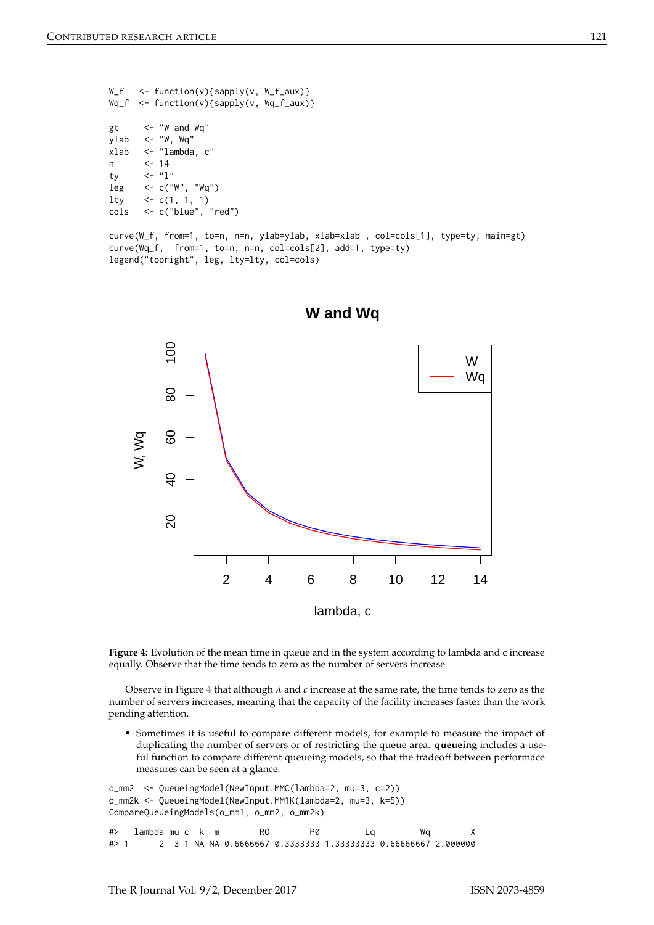```
W_f <- function(v){sapply(v, W_f_aux)}
Wq_f <- function(v){sapply(v, Wq_f_aux)}
gt <- "W and Wq"
vlab \leq - "W, Wq"
xlab <- "lambda, c"
n <- 14
ty \langle - \, '1 \rangleleg \leq c("W", "Wq")lty <- c(1, 1, 1)
cols <- c("blue", "red")
```

```
curve(W_f, from=1, to=n, n=n, ylab=ylab, xlab=xlab , col=cols[1], type=ty, main=gt)
curve(Wq_f, from=1, to=n, n=n, col=cols[2], add=T, type=ty)
legend("topright", leg, lty=lty, col=cols)
```


**W and Wq**

**Figure 4:** Evolution of the mean time in queue and in the system according to lambda and c increase equally. Observe that the time tends to zero as the number of servers increase

Observe in Figure [4](#page-5-0) that although *λ* and *c* increase at the same rate, the time tends to zero as the number of servers increases, meaning that the capacity of the facility increases faster than the work pending attention.

• Sometimes it is useful to compare different models, for example to measure the impact of duplicating the number of servers or of restricting the queue area. **queueing** includes a useful function to compare different queueing models, so that the tradeoff between performace measures can be seen at a glance.

```
o_mm2 <- QueueingModel(NewInput.MMC(lambda=2, mu=3, c=2))
o_mm2k <- QueueingModel(NewInput.MM1K(lambda=2, mu=3, k=5))
CompareQueueingModels(o_mm1, o_mm2, o_mm2k)
#> lambda mu c k m RO P0 Lq Wq X
#> 1 2 3 1 NA NA 0.6666667 0.3333333 1.33333333 0.66666667 2.000000
```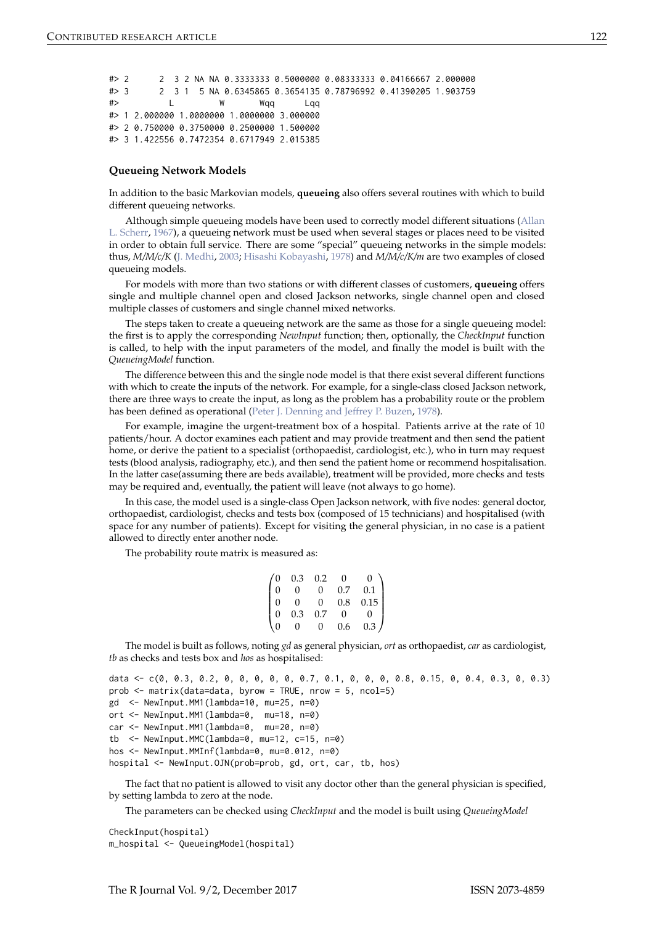<span id="page-6-0"></span>#> 2 2 3 2 NA NA 0.3333333 0.5000000 0.08333333 0.04166667 2.000000 #> 3 2 3 1 5 NA 0.6345865 0.3654135 0.78796992 0.41390205 1.903759 #> L W Wqq Lqq #> 1 2.000000 1.0000000 1.0000000 3.000000 #> 2 0.750000 0.3750000 0.2500000 1.500000 #> 3 1.422556 0.7472354 0.6717949 2.015385

#### **Queueing Network Models**

In addition to the basic Markovian models, **queueing** also offers several routines with which to build different queueing networks.

Although simple queueing models have been used to correctly model different situations [\(Allan](#page-9-2) [L. Scherr,](#page-9-2) [1967\)](#page-9-2), a queueing network must be used when several stages or places need to be visited in order to obtain full service. There are some "special" queueing networks in the simple models: thus, *M/M/c/K* [\(J. Medhi,](#page-10-15) [2003;](#page-10-15) [Hisashi Kobayashi,](#page-10-16) [1978\)](#page-10-16) and *M/M/c/K/m* are two examples of closed queueing models.

For models with more than two stations or with different classes of customers, **queueing** offers single and multiple channel open and closed Jackson networks, single channel open and closed multiple classes of customers and single channel mixed networks.

The steps taken to create a queueing network are the same as those for a single queueing model: the first is to apply the corresponding *NewInput* function; then, optionally, the *CheckInput* function is called, to help with the input parameters of the model, and finally the model is built with the *QueueingModel* function.

The difference between this and the single node model is that there exist several different functions with which to create the inputs of the network. For example, for a single-class closed Jackson network, there are three ways to create the input, as long as the problem has a probability route or the problem has been defined as operational [\(Peter J. Denning and Jeffrey P. Buzen,](#page-10-17) [1978\)](#page-10-17).

For example, imagine the urgent-treatment box of a hospital. Patients arrive at the rate of 10 patients/hour. A doctor examines each patient and may provide treatment and then send the patient home, or derive the patient to a specialist (orthopaedist, cardiologist, etc.), who in turn may request tests (blood analysis, radiography, etc.), and then send the patient home or recommend hospitalisation. In the latter case(assuming there are beds available), treatment will be provided, more checks and tests may be required and, eventually, the patient will leave (not always to go home).

In this case, the model used is a single-class Open Jackson network, with five nodes: general doctor, orthopaedist, cardiologist, checks and tests box (composed of 15 technicians) and hospitalised (with space for any number of patients). Except for visiting the general physician, in no case is a patient allowed to directly enter another node.

The probability route matrix is measured as:

|                                        | 0.3      | 0.2            | 0       | $\Omega$ |  |
|----------------------------------------|----------|----------------|---------|----------|--|
| $\begin{pmatrix} 0 \\ 0 \end{pmatrix}$ | 0        | 0              | 0.7     | 0.1      |  |
| $\vert 0 \vert$                        | $\Omega$ | $\overline{0}$ | $0.8\,$ | 0.15     |  |
| $\overline{0}$                         | 0.3      | 0.7            | 0       | O        |  |
| $\overline{0}$                         | 0        | 0              | 0.6     | 0.3)     |  |

The model is built as follows, noting *gd* as general physician, *ort* as orthopaedist, *car* as cardiologist, *tb* as checks and tests box and *hos* as hospitalised:

```
data <- c(0, 0.3, 0.2, 0, 0, 0, 0, 0, 0.7, 0.1, 0, 0, 0, 0.8, 0.15, 0, 0.4, 0.3, 0, 0.3)
prob <- matrix(data=data, byrow = TRUE, nrow = 5, ncol=5)
gd <- NewInput.MM1(lambda=10, mu=25, n=0)
ort <- NewInput.MM1(lambda=0, mu=18, n=0)
car <- NewInput.MM1(lambda=0, mu=20, n=0)
tb <- NewInput.MMC(lambda=0, mu=12, c=15, n=0)
hos <- NewInput.MMInf(lambda=0, mu=0.012, n=0)
hospital <- NewInput.OJN(prob=prob, gd, ort, car, tb, hos)
```
The fact that no patient is allowed to visit any doctor other than the general physician is specified, by setting lambda to zero at the node.

The parameters can be checked using *CheckInput* and the model is built using *QueueingModel*

CheckInput(hospital) m\_hospital <- QueueingModel(hospital)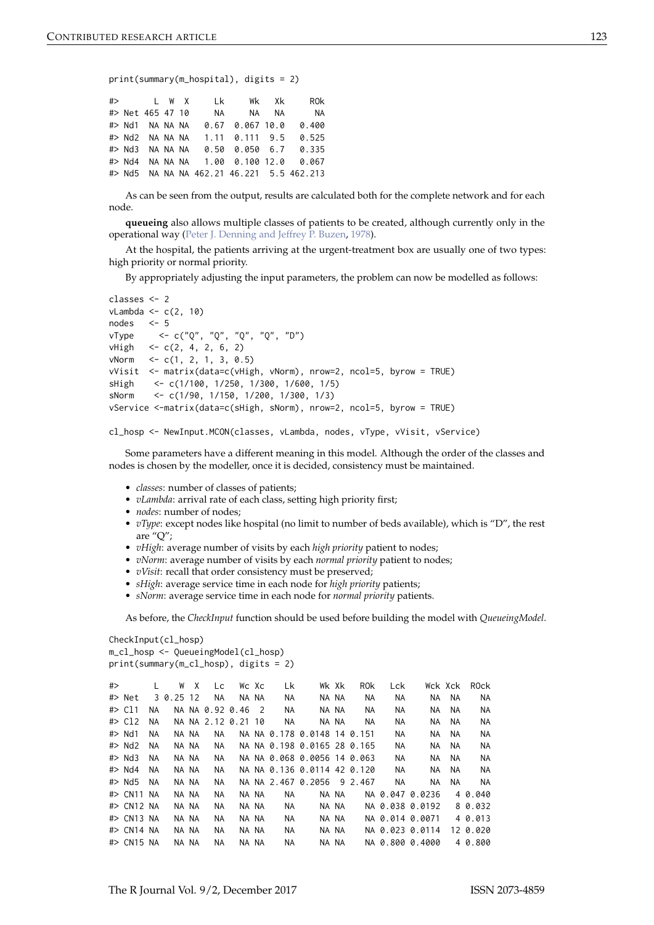```
print(summary(m_hospital), digits = 2)
```

|  |  |                                |  | #> L W X Lk Wk Xk ROk                     |
|--|--|--------------------------------|--|-------------------------------------------|
|  |  |                                |  | #> Net 465 47 10 NA NA NA NA              |
|  |  | #> Nd1 NANANA 0.67 0.067 10.0  |  | 0.400                                     |
|  |  | #> Nd2 NA NA NA 1.11 0.111 9.5 |  | 0.525                                     |
|  |  |                                |  | #> Nd3 NA NA NA 0.50 0.050 6.7 0.335      |
|  |  |                                |  | #> Nd4 NA NA NA 1.00 0.100 12.0 0.067     |
|  |  |                                |  | #> Nd5 NA NA NA 462.21 46.221 5.5 462.213 |

As can be seen from the output, results are calculated both for the complete network and for each node.

**queueing** also allows multiple classes of patients to be created, although currently only in the operational way [\(Peter J. Denning and Jeffrey P. Buzen,](#page-10-17) [1978\)](#page-10-17).

At the hospital, the patients arriving at the urgent-treatment box are usually one of two types: high priority or normal priority.

By appropriately adjusting the input parameters, the problem can now be modelled as follows:

```
classes <- 2
vLambda < -c(2, 10)nodes <- 5
vType <- c("Q", "Q", "Q", "Q", "D")
vHigh \leq c(2, 4, 2, 6, 2)vNorm \leq c(1, 2, 1, 3, 0.5)vVisit <- matrix(data=c(vHigh, vNorm), nrow=2, ncol=5, byrow = TRUE)
sHigh <- c(1/100, 1/250, 1/300, 1/600, 1/5)
sNorm <- c(1/90, 1/150, 1/200, 1/300, 1/3)
vService <-matrix(data=c(sHigh, sNorm), nrow=2, ncol=5, byrow = TRUE)
```
cl\_hosp <- NewInput.MCON(classes, vLambda, nodes, vType, vVisit, vService)

Some parameters have a different meaning in this model. Although the order of the classes and nodes is chosen by the modeller, once it is decided, consistency must be maintained.

- *classes*: number of classes of patients;
- *vLambda*: arrival rate of each class, setting high priority first;
- *nodes*: number of nodes;
- *vType*: except nodes like hospital (no limit to number of beds available), which is "D", the rest are "Q";
- *vHigh*: average number of visits by each *high priority* patient to nodes;
- *vNorm*: average number of visits by each *normal priority* patient to nodes;
- *vVisit*: recall that order consistency must be preserved;
- *sHigh*: average service time in each node for *high priority* patients;
- *sNorm*: average service time in each node for *normal priority* patients.

As before, the *CheckInput* function should be used before building the model with *QueueingModel*.

```
CheckInput(cl_hosp)
m_cl_hosp <- QueueingModel(cl_hosp)
print(summary(m_cl_hosp), digits = 2)
#> L W X Lc Wc Xc Lk Wk Xk ROk Lck Wck Xck ROck
#> Net 3 0.25 12 NA NA NA NA NA NA NA NA NA NA NA
#> Cl1 NA NA NA 0.92 0.46 2 NA NA NA NA NA NA NA NA
#> Cl2 NA NA NA 2.12 0.21 10 NA NA NA NA NA NA NA NA
#> Nd1 NA NA NA NA NA NA 0.178 0.0148 14 0.151 NA NA NA NA
#> Nd2 NA NA NA NA NA NA 0.198 0.0165 28 0.165 NA NA NA NA
#> Nd3 NA NA NA NA NA NA 0.068 0.0056 14 0.063 NA NA NA NA
#> Nd4 NA NA NA NA NA NA 0.136 0.0114 42 0.120 NA NA NA NA
#> Nd5 NA NA NA NA NA NA 2.467 0.2056 9 2.467 NA NA NA NA
#> CN11 NA NA NA NA NA NA NA NA NA NA 0.047 0.0236 4 0.040
#> CN12 NA NA NA NA NA NA NA NA NA NA 0.038 0.0192 8 0.032
#> CN13 NA NA NA NA NA NA NA NA NA NA 0.014 0.0071 4 0.013
#> CN14 NA NA NA NA NA NA NA NA NA NA 0.023 0.0114 12 0.020
#> CN15 NA NA NA NA NA NA NA NA NA NA 0.800 0.4000 4 0.800
```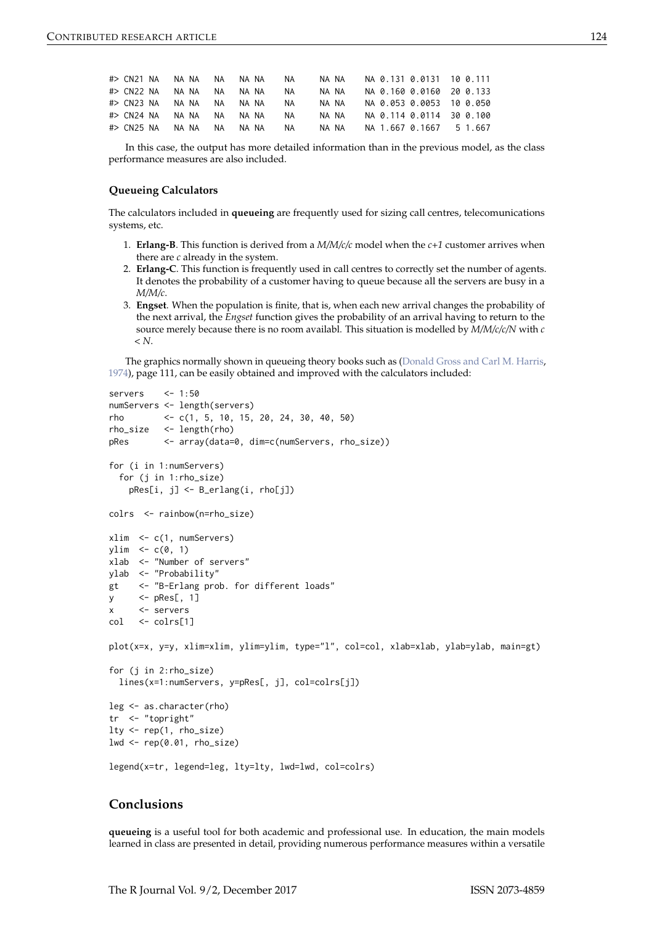<span id="page-8-0"></span>

| #> CN21 NA NA NA NA NA NA |  |              |       | NA.       | NA NA |  | NA 0.131 0.0131 10 0.111 |  |
|---------------------------|--|--------------|-------|-----------|-------|--|--------------------------|--|
| #> CN22 NA NA NA NA NA NA |  |              |       | NA.       | NA NA |  | NA 0.160 0.0160 20 0.133 |  |
| #> CN23 NA NA NA NA NA NA |  |              |       | NA.       | NA NA |  | NA 0.053 0.0053 10 0.050 |  |
| #> CN24 NA NA NA NA       |  |              | NA NA | <b>NA</b> | NA NA |  | NA 0.114 0.0114 30 0.100 |  |
| #> CN25 NA                |  | NANA NA NANA |       | NA.       | NA NA |  | NA 1.667 0.1667 5 1.667  |  |

In this case, the output has more detailed information than in the previous model, as the class performance measures are also included.

#### **Queueing Calculators**

The calculators included in **queueing** are frequently used for sizing call centres, telecomunications systems, etc.

- 1. **Erlang-B**. This function is derived from a *M/M/c/c* model when the *c+1* customer arrives when there are *c* already in the system.
- 2. **Erlang-C**. This function is frequently used in call centres to correctly set the number of agents. It denotes the probability of a customer having to queue because all the servers are busy in a *M/M/c*.
- 3. **Engset**. When the population is finite, that is, when each new arrival changes the probability of the next arrival, the *Engset* function gives the probability of an arrival having to return to the source merely because there is no room availabl. This situation is modelled by *M/M/c/c/N* with *c < N*.

The graphics normally shown in queueing theory books such as [\(Donald Gross and Carl M. Harris,](#page-10-1) [1974\)](#page-10-1), page 111, can be easily obtained and improved with the calculators included:

```
servers \leq -1:50numServers <- length(servers)
rho <- c(1, 5, 10, 15, 20, 24, 30, 40, 50)
rho_size <- length(rho)
pRes <- array(data=0, dim=c(numServers, rho_size))
for (i in 1:numServers)
 for (j in 1:rho_size)
   pRes[i, j] <- B_erlang(i, rho[j])
colrs <- rainbow(n=rho_size)
xlim <- c(1, numServers)
ylim \leq c(0, 1)xlab <- "Number of servers"
ylab <- "Probability"
gt <- "B-Erlang prob. for different loads"
y \leq -pRes[, 1]
x <- servers
col <- colrs[1]
plot(x=x, y=y, xlim=xlim, ylim=ylim, type="l", col=col, xlab=xlab, ylab=ylab, main=gt)
for (j in 2:rho_size)
 lines(x=1:numServers, y=pRes[, j], col=colrs[j])
leg <- as.character(rho)
tr <- "topright"
lty <- rep(1, rho_size)
lwd \leftarrow rep(0.01, rho\_size)
```

```
legend(x=tr, legend=leg, lty=lty, lwd=lwd, col=colrs)
```
#### **Conclusions**

**queueing** is a useful tool for both academic and professional use. In education, the main models learned in class are presented in detail, providing numerous performance measures within a versatile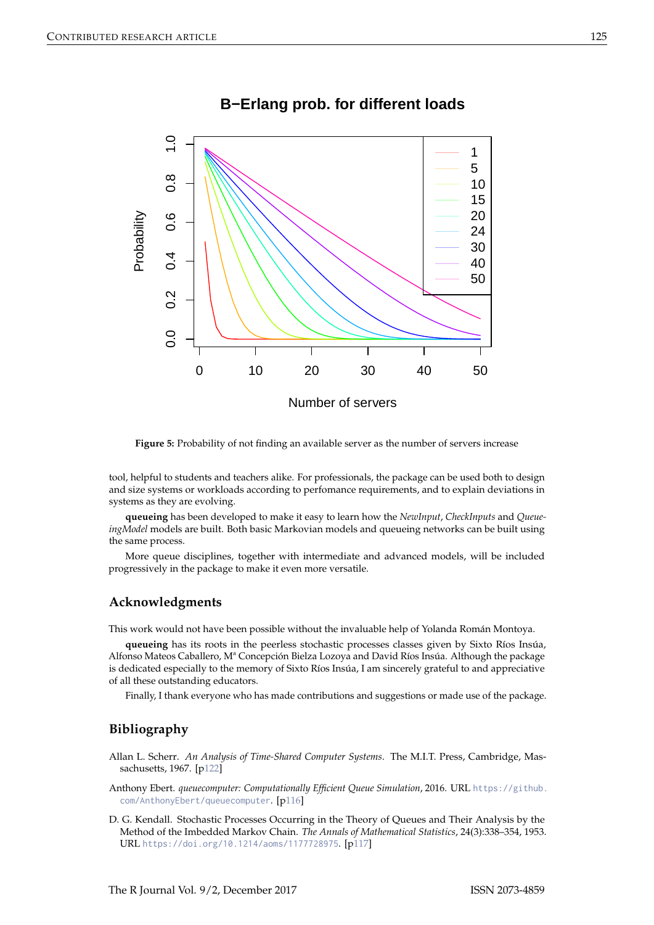

## **B−Erlang prob. for different loads**

**Figure 5:** Probability of not finding an available server as the number of servers increase

tool, helpful to students and teachers alike. For professionals, the package can be used both to design and size systems or workloads according to perfomance requirements, and to explain deviations in systems as they are evolving.

**queueing** has been developed to make it easy to learn how the *NewInput*, *CheckInputs* and *QueueingModel* models are built. Both basic Markovian models and queueing networks can be built using the same process.

More queue disciplines, together with intermediate and advanced models, will be included progressively in the package to make it even more versatile.

#### **Acknowledgments**

This work would not have been possible without the invaluable help of Yolanda Román Montoya.

**queueing** has its roots in the peerless stochastic processes classes given by Sixto Ríos Insúa, Alfonso Mateos Caballero, Mª Concepción Bielza Lozoya and David Ríos Insúa. Although the package is dedicated especially to the memory of Sixto Ríos Insúa, I am sincerely grateful to and appreciative of all these outstanding educators.

Finally, I thank everyone who has made contributions and suggestions or made use of the package.

## **Bibliography**

<span id="page-9-2"></span>Allan L. Scherr. *An Analysis of Time-Shared Computer Systems*. The M.I.T. Press, Cambridge, Massachusetts, 1967. [[p122\]](#page-6-0)

<span id="page-9-0"></span>Anthony Ebert. *queuecomputer: Computationally Efficient Queue Simulation*, 2016. URL [https://github.](https://github.com/AnthonyEbert/queuecomputer) [com/AnthonyEbert/queuecomputer](https://github.com/AnthonyEbert/queuecomputer). [[p116\]](#page-0-0)

<span id="page-9-1"></span>D. G. Kendall. Stochastic Processes Occurring in the Theory of Queues and Their Analysis by the Method of the Imbedded Markov Chain. *The Annals of Mathematical Statistics*, 24(3):338–354, 1953. URL <https://doi.org/10.1214/aoms/1177728975>. [[p117\]](#page-1-0)